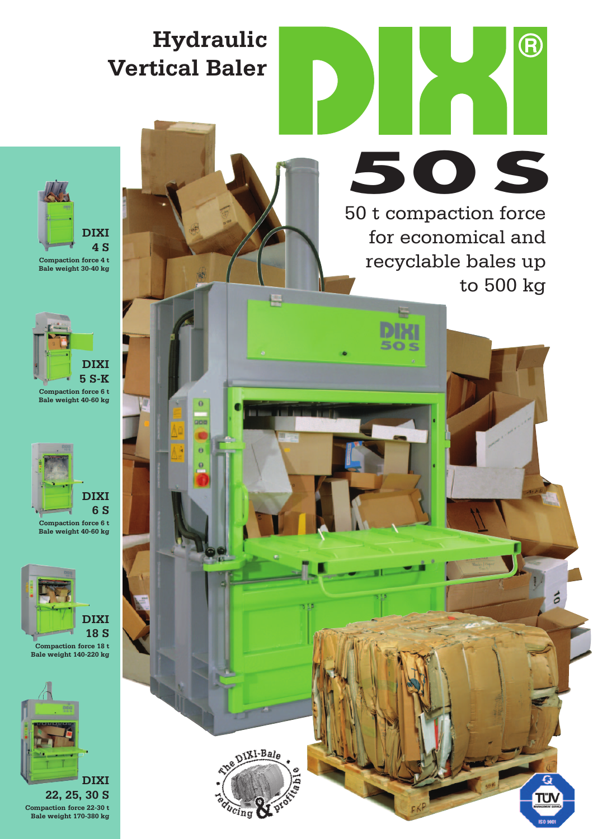## **Hydraulic Vertical Baler**

 $\ddot{\mathbf{0}}$ 



**Bale weight 30-40 kg** 



**Compaction force 6 t Bale weight 40-60 kg** 



**DIXI 18 S**

**Compaction force 18 t Bale weight 140-220 kg** 



50 t compaction force for economical and recyclable bales up to 500 kg **50 S**

50 s

**A** 

ó